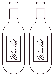